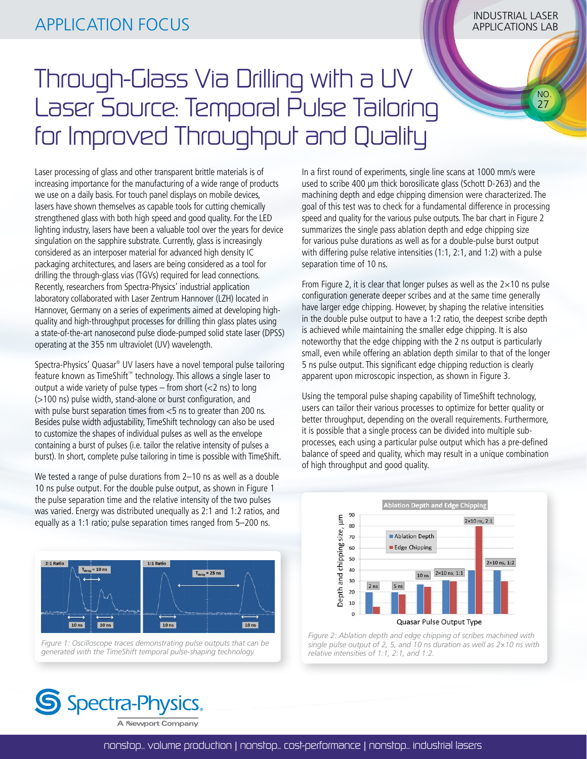NO. 27

## Through-Glass Via Drilling with a UV Laser Source: Temporal Pulse Tailoring for Improved Throughput and Quality

Laser processing of glass and other transparent brittle materials is of increasing importance for the manufacturing of a wide range of products we use on a daily basis. For touch panel displays on mobile devices, lasers have shown themselves as capable tools for cutting chemically strengthened glass with both high speed and good quality. For the LED lighting industry, lasers have been a valuable tool over the years for device singulation on the sapphire substrate. Currently, glass is increasingly considered as an interposer material for advanced high density IC packaging architectures, and lasers are being considered as a tool for drilling the through-glass vias (TGVs) required for lead connections. Recently, researchers from Spectra-Physics' industrial application laboratory collaborated with Laser Zentrum Hannover (LZH) located in Hannover, Germany on a series of experiments aimed at developing highquality and high-throughput processes for drilling thin glass plates using a state-of-the-art nanosecond pulse diode-pumped solid state laser (DPSS) operating at the 355 nm ultraviolet (UV) wavelength.

Spectra-Physics' Quasar® UV lasers have a novel temporal pulse tailoring feature known as TimeShift™ technology. This allows a single laser to output a wide variety of pulse types  $-$  from short ( $<$ 2 ns) to long (>100 ns) pulse width, stand-alone or burst configuration, and with pulse burst separation times from <5 ns to greater than 200 ns. Besides pulse width adjustability, TimeShift technology can also be used to customize the shapes of individual pulses as well as the envelope containing a burst of pulses (i.e. tailor the relative intensity of pulses a burst). In short, complete pulse tailoring in time is possible with TimeShift.

We tested a range of pulse durations from 2–10 ns as well as a double 10 ns pulse output. For the double pulse output, as shown in Figure 1 the pulse separation time and the relative intensity of the two pulses was varied. Energy was distributed unequally as 2:1 and 1:2 ratios, and equally as a 1:1 ratio; pulse separation times ranged from 5–200 ns.



*Figure 1: Oscilloscope traces demonstrating pulse outputs that can be generated with the TimeShift temporal pulse-shaping technology.*

In a first round of experiments, single line scans at 1000 mm/s were used to scribe 400 µm thick borosilicate glass (Schott D-263) and the machining depth and edge chipping dimension were characterized. The goal of this test was to check for a fundamental difference in processing speed and quality for the various pulse outputs. The bar chart in Figure 2 summarizes the single pass ablation depth and edge chipping size for various pulse durations as well as for a double-pulse burst output with differing pulse relative intensities (1:1, 2:1, and 1:2) with a pulse separation time of 10 ns.

From Figure 2, it is clear that longer pulses as well as the  $2\times10$  ns pulse configuration generate deeper scribes and at the same time generally have larger edge chipping. However, by shaping the relative intensities in the double pulse output to have a 1:2 ratio, the deepest scribe depth is achieved while maintaining the smaller edge chipping. It is also noteworthy that the edge chipping with the 2 ns output is particularly small, even while offering an ablation depth similar to that of the longer 5 ns pulse output. This significant edge chipping reduction is clearly apparent upon microscopic inspection, as shown in Figure 3.

Using the temporal pulse shaping capability of TimeShift technology, users can tailor their various processes to optimize for better quality or better throughput, depending on the overall requirements. Furthermore, it is possible that a single process can be divided into multiple subprocesses, each using a particular pulse output which has a pre-defined balance of speed and quality, which may result in a unique combination of high throughput and good quality.